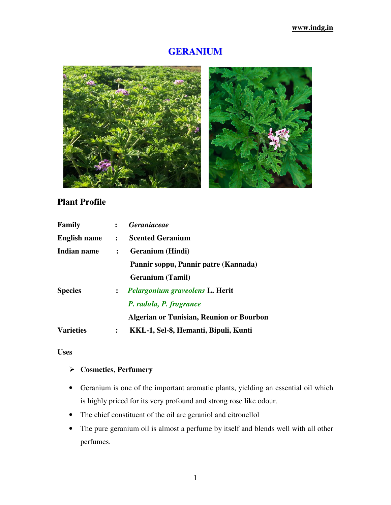# **GERANIUM**



## **Plant Profile**

| Family                |                      | : Geraniaceae                            |  |  |
|-----------------------|----------------------|------------------------------------------|--|--|
| <b>English name :</b> |                      | <b>Scented Geranium</b>                  |  |  |
| Indian name           | $\ddot{\phantom{a}}$ | <b>Geranium</b> (Hindi)                  |  |  |
|                       |                      | Pannir soppu, Pannir patre (Kannada)     |  |  |
|                       |                      | <b>Geranium</b> (Tamil)                  |  |  |
| <b>Species</b>        |                      | : Pelargonium graveolens L. Herit        |  |  |
|                       |                      | P. radula, P. fragrance                  |  |  |
|                       |                      | Algerian or Tunisian, Reunion or Bourbon |  |  |
| <b>Varieties</b>      | $\ddot{\cdot}$       | KKL-1, Sel-8, Hemanti, Bipuli, Kunti     |  |  |

### **Uses**

## **Cosmetics, Perfumery**

- Geranium is one of the important aromatic plants, yielding an essential oil which is highly priced for its very profound and strong rose like odour.
- The chief constituent of the oil are geraniol and citronellol
- The pure geranium oil is almost a perfume by itself and blends well with all other perfumes.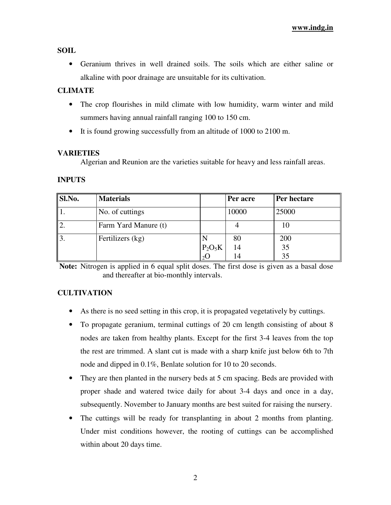#### **SOIL**

• Geranium thrives in well drained soils. The soils which are either saline or alkaline with poor drainage are unsuitable for its cultivation.

#### **CLIMATE**

- The crop flourishes in mild climate with low humidity, warm winter and mild summers having annual rainfall ranging 100 to 150 cm.
- It is found growing successfully from an altitude of 1000 to 2100 m.

#### **VARIETIES**

Algerian and Reunion are the varieties suitable for heavy and less rainfall areas.

#### **INPUTS**

| Sl.No.     | <b>Materials</b>     |           | Per acre | Per hectare |
|------------|----------------------|-----------|----------|-------------|
|            | No. of cuttings      |           | 10000    | 25000       |
|            | Farm Yard Manure (t) |           |          | 10          |
| $\vert 3.$ | Fertilizers (kg)     |           | 80       | 200         |
|            |                      | $P_2O_5K$ | 14       | 35          |
|            |                      |           | 14       | 35          |

**Note:** Nitrogen is applied in 6 equal split doses. The first dose is given as a basal dose and thereafter at bio-monthly intervals.

### **CULTIVATION**

- As there is no seed setting in this crop, it is propagated vegetatively by cuttings.
- To propagate geranium, terminal cuttings of 20 cm length consisting of about 8 nodes are taken from healthy plants. Except for the first 3-4 leaves from the top the rest are trimmed. A slant cut is made with a sharp knife just below 6th to 7th node and dipped in 0.1%, Benlate solution for 10 to 20 seconds.
- They are then planted in the nursery beds at 5 cm spacing. Beds are provided with proper shade and watered twice daily for about 3-4 days and once in a day, subsequently. November to January months are best suited for raising the nursery.
- The cuttings will be ready for transplanting in about 2 months from planting. Under mist conditions however, the rooting of cuttings can be accomplished within about 20 days time.